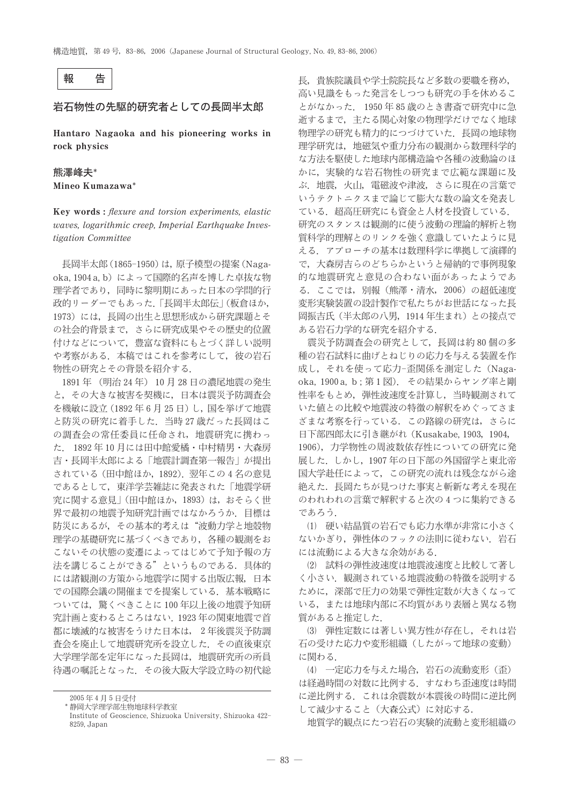

## 岩石物性の先駆的研究者としての長岡半太郎

Hantaro Nagaoka and his pioneering works in rock physics

# 熊澤峰夫\*

Mineo Kumazawa\*

Key words: flexure and torsion experiments, elastic waves, logarithmic creep, Imperial Earthquake Investigation Committee

長岡半太郎 (1865-1950) は、原子模型の提案 (Nagaoka, 1904 a, b) によって国際的名声を博した卓抜な物 理学者であり、同時に黎明期にあった日本の学問的行 政的リーダーでもあった。「長岡半太郎伝」(板倉ほか, 1973)には、長岡の出生と思想形成から研究課題とそ の社会的背景まで、さらに研究成果やその歴史的位置 付けなどについて、豊富な資料にもとづく詳しい説明 や考察がある。本稿ではこれを参考にして、彼の岩石 物性の研究とその背景を紹介する.

1891年 (明治24年) 10月28日の濃尾地震の発生 と、その大きな被害を契機に、日本は震災予防調査会 を機敏に設立 (1892年6月25日)し、国を挙げて地震 と防災の研究に着手した. 当時27歳だった長岡はこ の調査会の常任委員に任命され、地震研究に携わっ た. 1892年10月には田中館愛橘・中村精男・大森房 吉・長岡半太郎による「地震計調査第一報告」が提出 されている (田中館ほか, 1892). 翌年この4名の意見 であるとして、東洋学芸雑誌に発表された「地震学研 究に関する意見」(田中館ほか, 1893)は、おそらく世 界で最初の地震予知研究計画ではなかろうか、目標は 防災にあるが、その基本的考えは"波動力学と地殻物 理学の基礎研究に基づくべきであり、各種の観測をお こないその状態の変遷によってはじめて予知予報の方 法を講じることができる"というものである。具体的 には諸観測の方策から地震学に関する出版広報、日本 での国際会議の開催までを提案している。基本戦略に ついては、驚くべきことに100年以上後の地震予知研 究計画と変わるところはない. 1923年の関東地震で首 都に壊滅的な被害をうけた日本は、2年後震災予防調 査会を廃止して地震研究所を設立した. その直後東京 大学理学部を定年になった長岡は、地震研究所の所員 待遇の嘱託となった、その後大阪大学設立時の初代総 長、貴族院議員や学十院院長など多数の要職を務め、 高い見識をもった発言をしつつも研究の手を休めるこ とがなかった. 1950年85歳のとき書斎で研究中に急 逝するまで、主たる関心対象の物理学だけでなく地球 物理学の研究も精力的につづけていた。長岡の地球物 理学研究は、地磁気や重力分布の観測から数理科学的 な方法を駆使した地球内部構造論や各種の波動論のほ かに、実験的な岩石物性の研究まで広範な課題に及 ぶ. 地震, 火山, 電磁波や津波, さらに現在の言葉で いうテクトニクスまで論じて膨大な数の論文を発表し ている.超高圧研究にも資金と人材を投資している. 研究のスタンスは観測的に使う波動の理論的解析と物 質科学的理解とのリンクを強く意識していたように見 える. アプローチの基本は数理科学に準拠して演繹的 で、大森房吉らのどちらかというと帰納的で事例現象 的な地震研究と意見の合わない面があったようであ る. ここでは、別報(熊澤·清水, 2006)の超低速度 変形実験装置の設計製作で私たちがお世話になった長 岡振吉氏 (半太郎の八男, 1914年生まれ) との接点で ある岩石力学的な研究を紹介する.

震災予防調査会の研究として、長岡は約80個の多 種の岩石試料に曲げとねじりの応力を与える装置を作 成し、それを使って応力-歪関係を測定した (Nagaoka, 1900 a, b; 第1図). その結果からヤング率と剛 性率をもとめ、弾性波速度を計算し、当時観測されて いた値との比較や地震波の特徴の解釈をめぐってさま ざまな考察を行っている。この路線の研究は、さらに 日下部四郎太に引き継がれ (Kusakabe, 1903, 1904, 1906),力学物性の周波数依存性についての研究に発 展した. しかし, 1907年の日下部の外国留学と東北帝 国大学赴任によって、この研究の流れは残念ながら途 絶えた、長岡たちが見つけた事実と斬新な考えを現在 のわれわれの言葉で解釈すると次の4つに集約できる であろう.

(1) 硬い結晶質の岩石でも応力水準が非常に小さく ないかぎり、弾性体のフックの法則に従わない。岩石 には流動による大きな余効がある.

(2) 試料の弾性波速度は地震波速度と比較して著し く小さい. 観測されている地震波動の特徴を説明する ために、深部で圧力の効果で弾性定数が大きくなって いる、または地球内部に不均質があり表層と異なる物 質があると推定した.

(3) 弾性定数には著しい異方性が存在し、それは岩 石の受けた応力や変形組織(したがって地球の変動) に関わる.

(4) 一定応力を与えた場合、岩石の流動変形 (歪) は経過時間の対数に比例する。すなわち歪速度は時間 に逆比例する。これは余震数が本震後の時間に逆比例 して減少すること(大森公式)に対応する.

地質学的観点にたつ岩石の実験的流動と変形組織の

<sup>2005</sup>年4月5日受付

<sup>\*</sup> 静岡大学理学部生物地球科学教室

Institute of Geoscience, Shizuoka University, Shizuoka 422-8259, Japan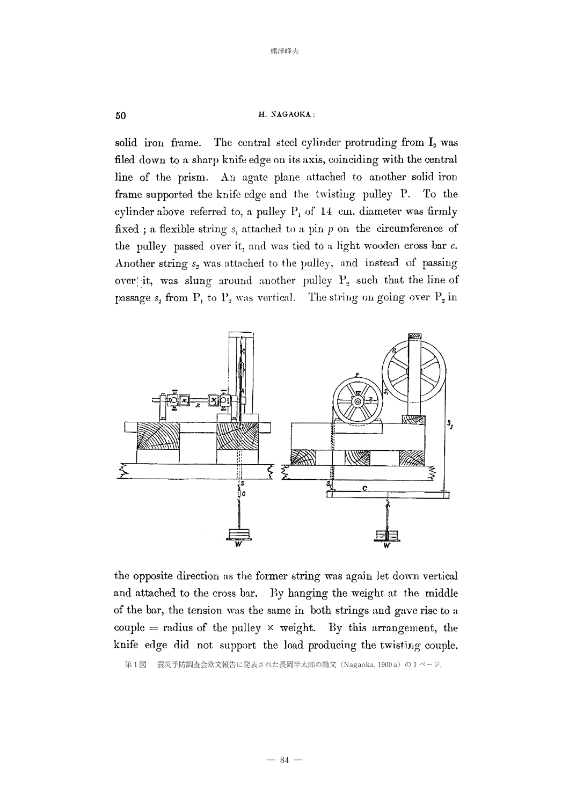### H. NAGAOKA:

solid iron frame. The central steel cylinder protruding from I<sub>2</sub> was filed down to a sharp knife edge on its axis, coinciding with the central line of the prism. An agate plane attached to another solid iron frame supported the knife edge and the twisting pulley P. To the cylinder above referred to, a pulley  $P_1$  of 14 cm. diameter was firmly fixed; a flexible string  $s_i$  attached to a pin p on the circumference of the pulley passed over it, and was tied to a light wooden cross bar  $c$ . Another string  $s_2$  was attached to the pulley, and instead of passing over it, was slung around another pulley  $P_2$  such that the line of passage  $s_2$  from  $P_1$  to  $P_2$  was vertical. The string on going over  $P_2$  in



the opposite direction as the former string was again let down vertical and attached to the cross bar. By hanging the weight at the middle of the bar, the tension was the same in both strings and gave rise to a couple = radius of the pulley  $\times$  weight. By this arrangement, the knife edge did not support the load producing the twisting couple,

第1図 震災予防調査会欧文報告に発表された長岡半太郎の論文 (Nagaoka, 1900a) の1ページ.

 $50$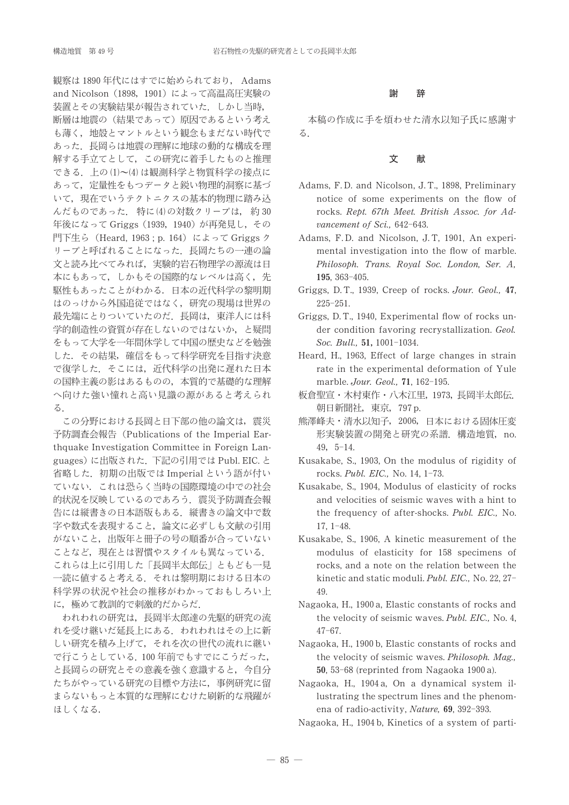観察は 1890年代にはすでに始められており. Adams and Nicolson (1898, 1901) によって高温高圧実験の 装置とその実験結果が報告されていた。しかし当時, 断層は地震の(結果であって)原因であるという考え も薄く、地殻とマントルという観念もまだない時代で あった、長岡らは地震の理解に地球の動的な構成を理 解する手立てとして、この研究に着手したものと推理 できる。上の(1)~(4)は観測科学と物質科学の接点に あって、定量性をもつデータと鋭い物理的洞察に基づ いて、現在でいうテクトニクスの基本的物理に踏み込 んだものであった. 特に(4)の対数クリープは, 約30 年後になって Griggs (1939, 1940) が再発見し、その 門下生ら (Heard, 1963; p. 164) によって Griggs ク リープと呼ばれることになった、長岡たちの一連の論 文と読み比べてみれば、実験的岩石物理学の源流は日 本にもあって、しかもその国際的なレベルは高く、先 駆性もあったことがわかる. 日本の近代科学の黎明期 はのっけから外国追従ではなく、研究の現場は世界の 最先端にとりついていたのだ。長岡は、東洋人には科 学的創造性の資質が存在しないのではないか、と疑問 をもって大学を一年間休学して中国の歴史などを勉強 した、その結果、確信をもって科学研究を目指す決意 で復学した。そこには、近代科学の出発に遅れた日本 の国粋主義の影はあるものの、本質的で基礎的な理解 へ向けた強い憧れと高い見識の源があると考えられ る.

この分野における長岡と日下部の他の論文は、震災 予防調査会報告 (Publications of the Imperial Earthquake Investigation Committee in Foreign Languages) に出版された. 下記の引用では Publ. EIC. と 省略した. 初期の出版では Imperial という語が付い ていない、これは恐らく当時の国際環境の中での社会 的状況を反映しているのであろう。震災予防調査会報 告には縦書きの日本語版もある. 縦書きの論文中で数 字や数式を表現すること、論文に必ずしも文献の引用 がないこと、出版年と冊子の号の順番が合っていない ことなど、現在とは習慣やスタイルも異なっている. これらは上に引用した「長岡半太郎伝」ともども一見 一読に値すると考える。それは黎明期における日本の 科学界の状況や社会の推移がわかっておもしろい上 に、極めて教訓的で刺激的だからだ.

われわれの研究は、長岡半太郎達の先駆的研究の流 れを受け継いだ延長上にある。われわれはその上に新 しい研究を積み上げて、それを次の世代の流れに継い で行こうとしている. 100年前でもすでにこうだった, と長岡らの研究とその意義を強く意識すると、今自分 たちがやっている研究の目標や方法に、事例研究に留 まらないもっと本質的な理解にむけた刷新的な飛躍が ほしくなる.

### 謝 辞

本稿の作成に手を煩わせた清水以知子氏に感謝す  $\mathcal{Z}$ .

#### 文 献

- Adams, F.D. and Nicolson, J.T., 1898, Preliminary notice of some experiments on the flow of rocks. Rept. 67th Meet. British Assoc. for Advancement of Sci., 642-643.
- Adams, F.D. and Nicolson, J.T. 1901, An experimental investigation into the flow of marble. Philosoph. Trans. Royal Soc. London, Ser. A, 195, 363-405.
- Griggs, D.T., 1939. Creep of rocks. Jour. Geol., 47.  $225 - 251.$
- Griggs, D.T., 1940, Experimental flow of rocks under condition favoring recrystallization. Geol. Soc. Bull., 51, 1001-1034.
- Heard, H., 1963, Effect of large changes in strain rate in the experimental deformation of Yule marble. Jour. Geol., 71, 162-195.
- 板倉聖宣・木村東作・八木江里, 1973, 長岡半太郎伝. 朝日新聞社, 東京, 797 p.
- 熊澤峰夫・清水以知子, 2006, 日本における固体圧変 形実験装置の開発と研究の系譜. 構造地質, no.  $49, 5-14.$
- Kusakabe, S., 1903, On the modulus of rigidity of rocks. Publ. EIC., No. 14, 1-73.
- Kusakabe, S., 1904, Modulus of elasticity of rocks and velocities of seismic waves with a hint to the frequency of after-shocks. Publ. EIC., No.  $17.1 - 48.$
- Kusakabe, S., 1906, A kinetic measurement of the modulus of elasticity for 158 specimens of rocks, and a note on the relation between the kinetic and static moduli. Publ. EIC., No. 22, 27-49.
- Nagaoka, H., 1900 a, Elastic constants of rocks and the velocity of seismic waves. Publ. EIC., No. 4,  $47 - 67.$
- Nagaoka, H., 1900 b, Elastic constants of rocks and the velocity of seismic waves. Philosoph. Mag., 50, 53-68 (reprinted from Nagaoka 1900 a).
- Nagaoka, H., 1904 a, On a dynamical system illustrating the spectrum lines and the phenomena of radio-activity, Nature, 69, 392-393.
- Nagaoka, H., 1904b, Kinetics of a system of parti-